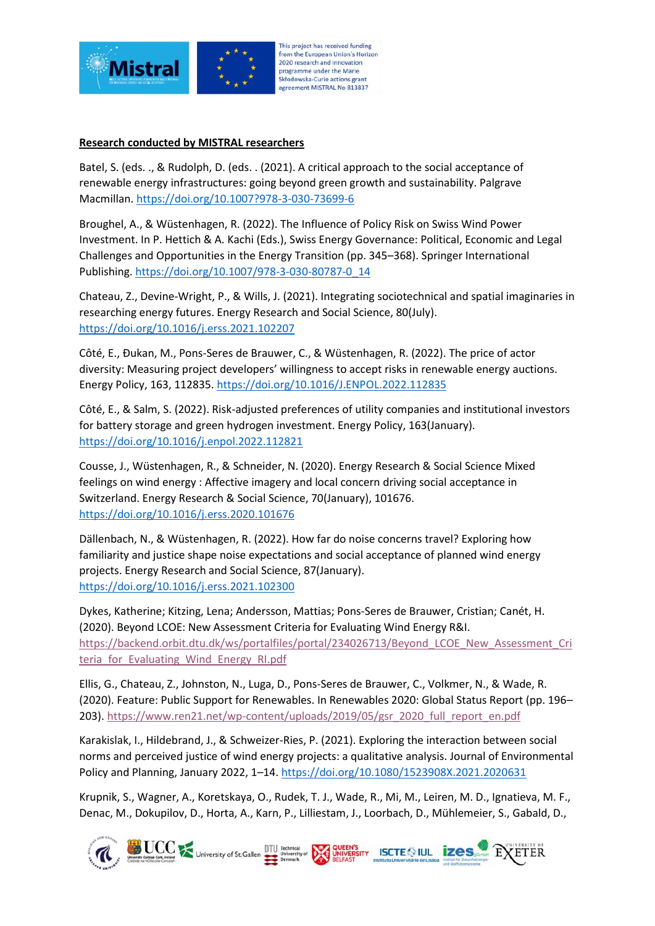

## This project has received funding from the European Union's Horizon 2020 research and innovation programme under the Marie Skłodowska-Curie actions grant agreement MISTRAL No 813837

## **Research conducted by MISTRAL researchers**

Batel, S. (eds. ., & Rudolph, D. (eds. . (2021). A critical approach to the social acceptance of renewable energy infrastructures: going beyond green growth and sustainability. Palgrave Macmillan.<https://doi.org/10.1007?978-3-030-73699-6>

Broughel, A., & Wüstenhagen, R. (2022). The Influence of Policy Risk on Swiss Wind Power Investment. In P. Hettich & A. Kachi (Eds.), Swiss Energy Governance: Political, Economic and Legal Challenges and Opportunities in the Energy Transition (pp. 345–368). Springer International Publishing. [https://doi.org/10.1007/978-3-030-80787-0\\_14](https://doi.org/10.1007/978-3-030-80787-0_14)

Chateau, Z., Devine-Wright, P., & Wills, J. (2021). Integrating sociotechnical and spatial imaginaries in researching energy futures. Energy Research and Social Science, 80(July). <https://doi.org/10.1016/j.erss.2021.102207>

Côté, E., Đukan, M., Pons-Seres de Brauwer, C., & Wüstenhagen, R. (2022). The price of actor diversity: Measuring project developers' willingness to accept risks in renewable energy auctions. Energy Policy, 163, 112835.<https://doi.org/10.1016/J.ENPOL.2022.112835>

Côté, E., & Salm, S. (2022). Risk-adjusted preferences of utility companies and institutional investors for battery storage and green hydrogen investment. Energy Policy, 163(January). <https://doi.org/10.1016/j.enpol.2022.112821>

Cousse, J., Wüstenhagen, R., & Schneider, N. (2020). Energy Research & Social Science Mixed feelings on wind energy : Affective imagery and local concern driving social acceptance in Switzerland. Energy Research & Social Science, 70(January), 101676. <https://doi.org/10.1016/j.erss.2020.101676>

Dällenbach, N., & Wüstenhagen, R. (2022). How far do noise concerns travel? Exploring how familiarity and justice shape noise expectations and social acceptance of planned wind energy projects. Energy Research and Social Science, 87(January). <https://doi.org/10.1016/j.erss.2021.102300>

Dykes, Katherine; Kitzing, Lena; Andersson, Mattias; Pons-Seres de Brauwer, Cristian; Canét, H. (2020). Beyond LCOE: New Assessment Criteria for Evaluating Wind Energy R&I. [https://backend.orbit.dtu.dk/ws/portalfiles/portal/234026713/Beyond\\_LCOE\\_New\\_Assessment\\_Cri](https://backend.orbit.dtu.dk/ws/portalfiles/portal/234026713/Beyond_LCOE_New_Assessment_Criteria_for_Evaluating_Wind_Energy_RI.pdf) teria for Evaluating Wind Energy RI.pdf

Ellis, G., Chateau, Z., Johnston, N., Luga, D., Pons-Seres de Brauwer, C., Volkmer, N., & Wade, R. (2020). Feature: Public Support for Renewables. In Renewables 2020: Global Status Report (pp. 196– 203). [https://www.ren21.net/wp-content/uploads/2019/05/gsr\\_2020\\_full\\_report\\_en.pdf](https://www.ren21.net/wp-content/uploads/2019/05/gsr_2020_full_report_en.pdf)

Karakislak, I., Hildebrand, J., & Schweizer-Ries, P. (2021). Exploring the interaction between social norms and perceived justice of wind energy projects: a qualitative analysis. Journal of Environmental Policy and Planning, January 2022, 1–14[. https://doi.org/10.1080/1523908X.2021.2020631](https://doi.org/10.1080/1523908X.2021.2020631)

Krupnik, S., Wagner, A., Koretskaya, O., Rudek, T. J., Wade, R., Mi, M., Leiren, M. D., Ignatieva, M. F., Denac, M., Dokupilov, D., Horta, A., Karn, P., Lilliestam, J., Loorbach, D., Mühlemeier, S., Gabald, D.,

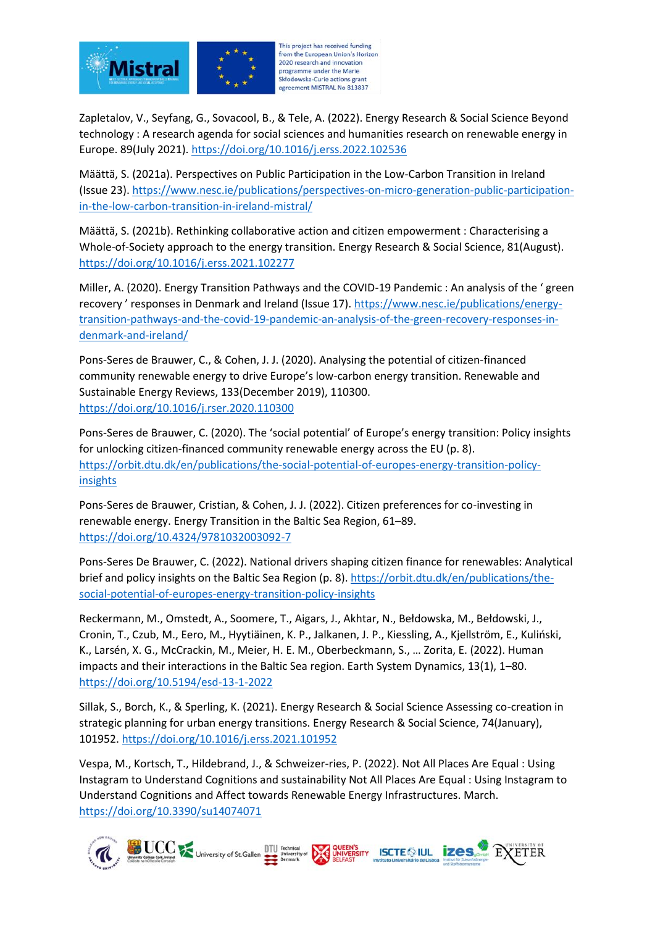

from the European Union's Horizon 2020 research and innovation programme under the Marie Skłodowska-Curie actions grant agreement MISTRAL No 813837

Zapletalov, V., Seyfang, G., Sovacool, B., & Tele, A. (2022). Energy Research & Social Science Beyond technology : A research agenda for social sciences and humanities research on renewable energy in Europe. 89(July 2021).<https://doi.org/10.1016/j.erss.2022.102536>

Määttä, S. (2021a). Perspectives on Public Participation in the Low-Carbon Transition in Ireland (Issue 23). [https://www.nesc.ie/publications/perspectives-on-micro-generation-public-participation](https://www.nesc.ie/publications/perspectives-on-micro-generation-public-participation-in-the-low-carbon-transition-in-ireland-mistral/)[in-the-low-carbon-transition-in-ireland-mistral/](https://www.nesc.ie/publications/perspectives-on-micro-generation-public-participation-in-the-low-carbon-transition-in-ireland-mistral/)

Määttä, S. (2021b). Rethinking collaborative action and citizen empowerment : Characterising a Whole-of-Society approach to the energy transition. Energy Research & Social Science, 81(August). <https://doi.org/10.1016/j.erss.2021.102277>

Miller, A. (2020). Energy Transition Pathways and the COVID-19 Pandemic : An analysis of the ' green recovery ' responses in Denmark and Ireland (Issue 17). [https://www.nesc.ie/publications/energy](https://www.nesc.ie/publications/energy-transition-pathways-and-the-covid-19-pandemic-an-analysis-of-the-green-recovery-responses-in-denmark-and-ireland/)[transition-pathways-and-the-covid-19-pandemic-an-analysis-of-the-green-recovery-responses-in](https://www.nesc.ie/publications/energy-transition-pathways-and-the-covid-19-pandemic-an-analysis-of-the-green-recovery-responses-in-denmark-and-ireland/)[denmark-and-ireland/](https://www.nesc.ie/publications/energy-transition-pathways-and-the-covid-19-pandemic-an-analysis-of-the-green-recovery-responses-in-denmark-and-ireland/)

Pons-Seres de Brauwer, C., & Cohen, J. J. (2020). Analysing the potential of citizen-financed community renewable energy to drive Europe's low-carbon energy transition. Renewable and Sustainable Energy Reviews, 133(December 2019), 110300. <https://doi.org/10.1016/j.rser.2020.110300>

Pons-Seres de Brauwer, C. (2020). The 'social potential' of Europe's energy transition: Policy insights for unlocking citizen-financed community renewable energy across the EU (p. 8). [https://orbit.dtu.dk/en/publications/the-social-potential-of-europes-energy-transition-policy](https://orbit.dtu.dk/en/publications/the-social-potential-of-europes-energy-transition-policy-insights)[insights](https://orbit.dtu.dk/en/publications/the-social-potential-of-europes-energy-transition-policy-insights)

Pons-Seres de Brauwer, Cristian, & Cohen, J. J. (2022). Citizen preferences for co-investing in renewable energy. Energy Transition in the Baltic Sea Region, 61–89. <https://doi.org/10.4324/9781032003092-7>

Pons-Seres De Brauwer, C. (2022). National drivers shaping citizen finance for renewables: Analytical brief and policy insights on the Baltic Sea Region (p. 8)[. https://orbit.dtu.dk/en/publications/the](https://orbit.dtu.dk/en/publications/the-social-potential-of-europes-energy-transition-policy-insights)[social-potential-of-europes-energy-transition-policy-insights](https://orbit.dtu.dk/en/publications/the-social-potential-of-europes-energy-transition-policy-insights)

Reckermann, M., Omstedt, A., Soomere, T., Aigars, J., Akhtar, N., Bełdowska, M., Bełdowski, J., Cronin, T., Czub, M., Eero, M., Hyytiäinen, K. P., Jalkanen, J. P., Kiessling, A., Kjellström, E., Kuliński, K., Larsén, X. G., McCrackin, M., Meier, H. E. M., Oberbeckmann, S., … Zorita, E. (2022). Human impacts and their interactions in the Baltic Sea region. Earth System Dynamics, 13(1), 1–80. <https://doi.org/10.5194/esd-13-1-2022>

Sillak, S., Borch, K., & Sperling, K. (2021). Energy Research & Social Science Assessing co-creation in strategic planning for urban energy transitions. Energy Research & Social Science, 74(January), 101952[. https://doi.org/10.1016/j.erss.2021.101952](https://doi.org/10.1016/j.erss.2021.101952)

Vespa, M., Kortsch, T., Hildebrand, J., & Schweizer-ries, P. (2022). Not All Places Are Equal : Using Instagram to Understand Cognitions and sustainability Not All Places Are Equal : Using Instagram to Understand Cognitions and Affect towards Renewable Energy Infrastructures. March. <https://doi.org/10.3390/su14074071>